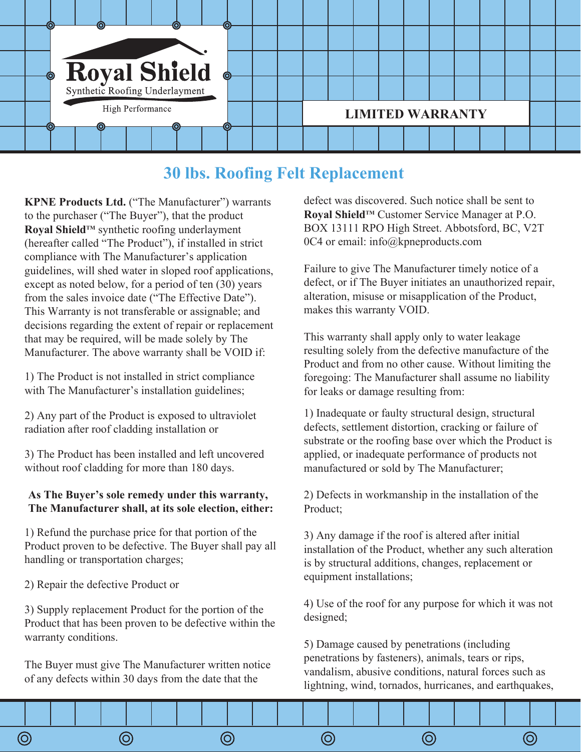

## **30 lbs. Roofing Felt Replacement**

**KPNE Products Ltd.** ("The Manufacturer") warrants to the purchaser ("The Buyer"), that the product **Royal ShieldTM** synthetic roofing underlayment (hereafter called "The Product"), if installed in strict compliance with The Manufacturer's application guidelines, will shed water in sloped roof applications, except as noted below, for a period of ten (30) years from the sales invoice date ("The Effective Date"). This Warranty is not transferable or assignable; and decisions regarding the extent of repair or replacement that may be required, will be made solely by The Manufacturer. The above warranty shall be VOID if:

1) The Product is not installed in strict compliance with The Manufacturer's installation guidelines;

2) Any part of the Product is exposed to ultraviolet radiation after roof cladding installation or

3) The Product has been installed and left uncovered without roof cladding for more than 180 days.

## **As The Buyer's sole remedy under this warranty, The Manufacturer shall, at its sole election, either:**

1) Refund the purchase price for that portion of the Product proven to be defective. The Buyer shall pay all handling or transportation charges;

2) Repair the defective Product or

3) Supply replacement Product for the portion of the Product that has been proven to be defective within the warranty conditions.

The Buyer must give The Manufacturer written notice of any defects within 30 days from the date that the

defect was discovered. Such notice shall be sent to **Royal ShieldTM** Customer Service Manager at P.O. BOX 13111 RPO High Street. Abbotsford, BC, V2T 0C4 or email: info@kpneproducts.com

Failure to give The Manufacturer timely notice of a defect, or if The Buyer initiates an unauthorized repair, alteration, misuse or misapplication of the Product, makes this warranty VOID.

This warranty shall apply only to water leakage resulting solely from the defective manufacture of the Product and from no other cause. Without limiting the foregoing: The Manufacturer shall assume no liability for leaks or damage resulting from:

1) Inadequate or faulty structural design, structural defects, settlement distortion, cracking or failure of substrate or the roofing base over which the Product is applied, or inadequate performance of products not manufactured or sold by The Manufacturer;

2) Defects in workmanship in the installation of the Product;

3) Any damage if the roof is altered after initial installation of the Product, whether any such alteration is by structural additions, changes, replacement or equipment installations;

4) Use of the roof for any purpose for which it was not designed;

5) Damage caused by penetrations (including penetrations by fasteners), animals, tears or rips, vandalism, abusive conditions, natural forces such as lightning, wind, tornados, hurricanes, and earthquakes,

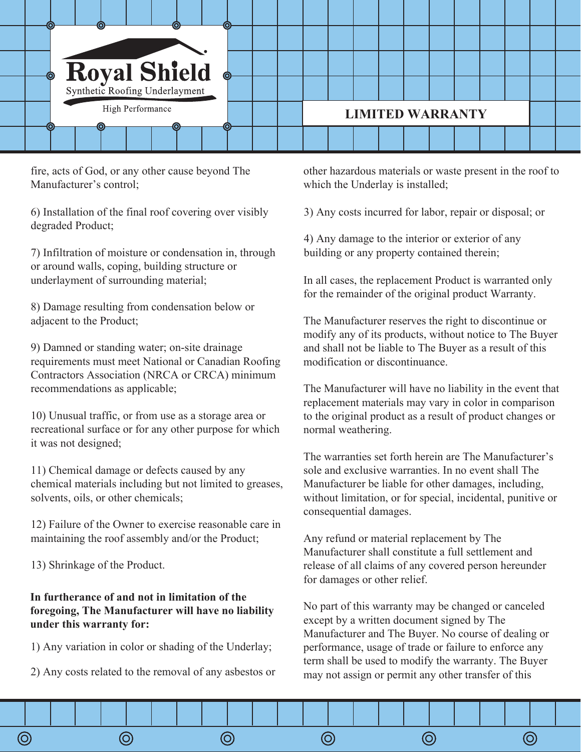

fire, acts of God, or any other cause beyond The Manufacturer's control;

6) Installation of the final roof covering over visibly degraded Product;

7) Infiltration of moisture or condensation in, through or around walls, coping, building structure or underlayment of surrounding material;

8) Damage resulting from condensation below or adjacent to the Product;

9) Damned or standing water; on-site drainage requirements must meet National or Canadian Roofing Contractors Association (NRCA or CRCA) minimum recommendations as applicable;

10) Unusual traffic, or from use as a storage area or recreational surface or for any other purpose for which it was not designed;

11) Chemical damage or defects caused by any chemical materials including but not limited to greases, solvents, oils, or other chemicals;

12) Failure of the Owner to exercise reasonable care in maintaining the roof assembly and/or the Product;

13) Shrinkage of the Product.

## **In furtherance of and not in limitation of the foregoing, The Manufacturer will have no liability under this warranty for:**

1) Any variation in color or shading of the Underlay;

2) Any costs related to the removal of any asbestos or

other hazardous materials or waste present in the roof to which the Underlay is installed;

3) Any costs incurred for labor, repair or disposal; or

4) Any damage to the interior or exterior of any building or any property contained therein;

In all cases, the replacement Product is warranted only for the remainder of the original product Warranty.

The Manufacturer reserves the right to discontinue or modify any of its products, without notice to The Buyer and shall not be liable to The Buyer as a result of this modification or discontinuance.

The Manufacturer will have no liability in the event that replacement materials may vary in color in comparison to the original product as a result of product changes or normal weathering.

The warranties set forth herein are The Manufacturer's sole and exclusive warranties. In no event shall The Manufacturer be liable for other damages, including, without limitation, or for special, incidental, punitive or consequential damages.

Any refund or material replacement by The Manufacturer shall constitute a full settlement and release of all claims of any covered person hereunder for damages or other relief.

No part of this warranty may be changed or canceled except by a written document signed by The Manufacturer and The Buyer. No course of dealing or performance, usage of trade or failure to enforce any term shall be used to modify the warranty. The Buyer may not assign or permit any other transfer of this